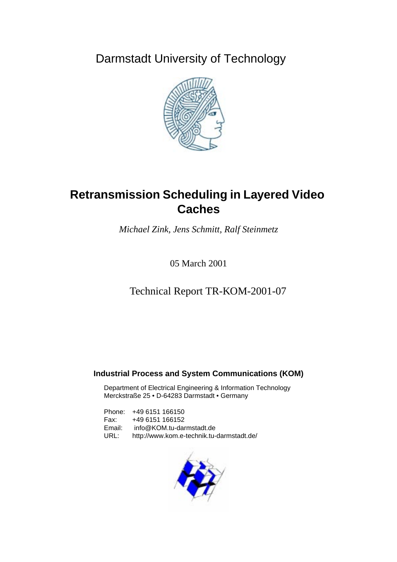Darmstadt University of Technology



# **Retransmission Scheduling in Layered Video Caches**

*Michael Zink, Jens Schmitt, Ralf Steinmetz*

05 March 2001

Technical Report TR-KOM-2001-07

## **Industrial Process and System Communications (KOM)**

Department of Electrical Engineering & Information Technology Merckstraße 25 • D-64283 Darmstadt • Germany

Phone: +49 6151 166150 Fax: +49 6151 166152 Email: info@KOM.tu-darmstadt.de URL: http://www.kom.e-technik.tu-darmstadt.de/

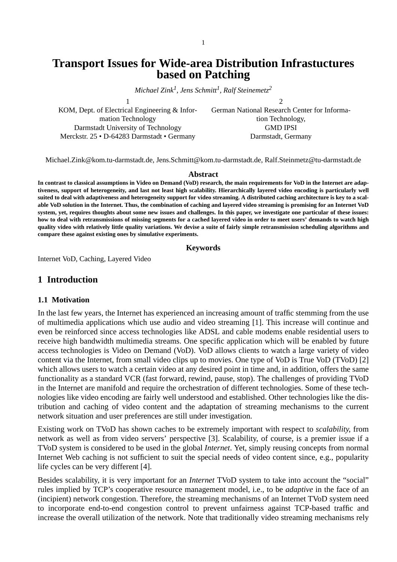## **Transport Issues for Wide-area Distribution Infrastuctures based on Patching**

*Michael Zink1 , Jens Schmitt<sup>1</sup> , Ralf Steinemetz<sup>2</sup>*

1

KOM, Dept. of Electrical Engineering & Information Technology Darmstadt University of Technology Merckstr. 25 • D-64283 Darmstadt • Germany

German National Research Center for Information Technology, GMD IPSI Darmstadt, Germany

 $\mathfrak{D}$ 

Michael.Zink@kom.tu-darmstadt.de, Jens.Schmitt@kom.tu-darmstadt.de, Ralf.Steinmetz@tu-darmstadt.de

#### **Abstract**

**In contrast to classical assumptions in Video on Demand (VoD) research, the main requirements for VoD in the Internet are adaptiveness, support of heterogeneity, and last not least high scalability. Hierarchically layered video encoding is particularly well suited to deal with adaptiveness and heterogeneity support for video streaming. A distributed caching architecture is key to a scalable VoD solution in the Internet. Thus, the combination of caching and layered video streaming is promising for an Internet VoD system, yet, requires thoughts about some new issues and challenges. In this paper, we investigate one particular of these issues: how to deal with retransmissions of missing segments for a cached layered video in order to meet users' demands to watch high quality video with relatively little quality variations. We devise a suite of fairly simple retransmission scheduling algorithms and compare these against existing ones by simulative experiments.**

#### **Keywords**

Internet VoD, Caching, Layered Video

#### **1 Introduction**

#### **1.1 Motivation**

In the last few years, the Internet has experienced an increasing amount of traffic stemming from the use of multimedia applications which use audio and video streaming [1]. This increase will continue and even be reinforced since access technologies like ADSL and cable modems enable residential users to receive high bandwidth multimedia streams. One specific application which will be enabled by future access technologies is Video on Demand (VoD). VoD allows clients to watch a large variety of video content via the Internet, from small video clips up to movies. One type of VoD is True VoD (TVoD) [2] which allows users to watch a certain video at any desired point in time and, in addition, offers the same functionality as a standard VCR (fast forward, rewind, pause, stop). The challenges of providing TVoD in the Internet are manifold and require the orchestration of different technologies. Some of these technologies like video encoding are fairly well understood and established. Other technologies like the distribution and caching of video content and the adaptation of streaming mechanisms to the current network situation and user preferences are still under investigation.

Existing work on TVoD has shown caches to be extremely important with respect to *scalability*, from network as well as from video servers' perspective [3]. Scalability, of course, is a premier issue if a TVoD system is considered to be used in the global *Internet*. Yet, simply reusing concepts from normal Internet Web caching is not sufficient to suit the special needs of video content since, e.g., popularity life cycles can be very different [4].

Besides scalability, it is very important for an *Internet* TVoD system to take into account the "social" rules implied by TCP's cooperative resource management model, i.e., to be *adaptive* in the face of an (incipient) network congestion. Therefore, the streaming mechanisms of an Internet TVoD system need to incorporate end-to-end congestion control to prevent unfairness against TCP-based traffic and increase the overall utilization of the network. Note that traditionally video streaming mechanisms rely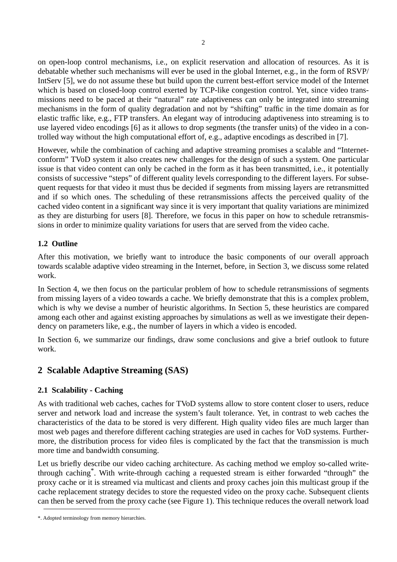on open-loop control mechanisms, i.e., on explicit reservation and allocation of resources. As it is debatable whether such mechanisms will ever be used in the global Internet, e.g., in the form of RSVP/ IntServ [5], we do not assume these but build upon the current best-effort service model of the Internet which is based on closed-loop control exerted by TCP-like congestion control. Yet, since video transmissions need to be paced at their "natural" rate adaptiveness can only be integrated into streaming mechanisms in the form of quality degradation and not by "shifting" traffic in the time domain as for elastic traffic like, e.g., FTP transfers. An elegant way of introducing adaptiveness into streaming is to use layered video encodings [6] as it allows to drop segments (the transfer units) of the video in a controlled way without the high computational effort of, e.g., adaptive encodings as described in [7].

However, while the combination of caching and adaptive streaming promises a scalable and "Internetconform" TVoD system it also creates new challenges for the design of such a system. One particular issue is that video content can only be cached in the form as it has been transmitted, i.e., it potentially consists of successive "steps" of different quality levels corresponding to the different layers. For subsequent requests for that video it must thus be decided if segments from missing layers are retransmitted and if so which ones. The scheduling of these retransmissions affects the perceived quality of the cached video content in a significant way since it is very important that quality variations are minimized as they are disturbing for users [8]. Therefore, we focus in this paper on how to schedule retransmissions in order to minimize quality variations for users that are served from the video cache.

#### **1.2 Outline**

After this motivation, we briefly want to introduce the basic components of our overall approach towards scalable adaptive video streaming in the Internet, before, in Section 3, we discuss some related work.

In Section 4, we then focus on the particular problem of how to schedule retransmissions of segments from missing layers of a video towards a cache. We briefly demonstrate that this is a complex problem, which is why we devise a number of heuristic algorithms. In Section 5, these heuristics are compared among each other and against existing approaches by simulations as well as we investigate their dependency on parameters like, e.g., the number of layers in which a video is encoded.

In Section 6, we summarize our findings, draw some conclusions and give a brief outlook to future work.

## **2 Scalable Adaptive Streaming (SAS)**

#### **2.1 Scalability - Caching**

As with traditional web caches, caches for TVoD systems allow to store content closer to users, reduce server and network load and increase the system's fault tolerance. Yet, in contrast to web caches the characteristics of the data to be stored is very different. High quality video files are much larger than most web pages and therefore different caching strategies are used in caches for VoD systems. Furthermore, the distribution process for video files is complicated by the fact that the transmission is much more time and bandwidth consuming.

Let us briefly describe our video caching architecture. As caching method we employ so-called writethrough caching\*. With write-through caching a requested stream is either forwarded "through" the proxy cache or it is streamed via multicast and clients and proxy caches join this multicast group if the cache replacement strategy decides to store the requested video on the proxy cache. Subsequent clients can then be served from the proxy cache (see [Figure 1\)](#page-3-0). This technique reduces the overall network load

<sup>\*.</sup> Adopted terminology from memory hierarchies.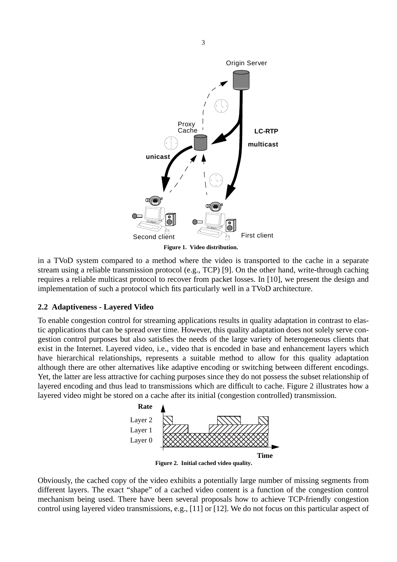<span id="page-3-0"></span>

in a TVoD system compared to a method where the video is transported to the cache in a separate stream using a reliable transmission protocol (e.g., TCP) [9]. On the other hand, write-through caching requires a reliable multicast protocol to recover from packet losses. In [10], we present the design and implementation of such a protocol which fits particularly well in a TVoD architecture.

#### **2.2 Adaptiveness - Layered Video**

To enable congestion control for streaming applications results in quality adaptation in contrast to elastic applications that can be spread over time. However, this quality adaptation does not solely serve congestion control purposes but also satisfies the needs of the large variety of heterogeneous clients that exist in the Internet. Layered video, i.e., video that is encoded in base and enhancement layers which have hierarchical relationships, represents a suitable method to allow for this quality adaptation although there are other alternatives like adaptive encoding or switching between different encodings. Yet, the latter are less attractive for caching purposes since they do not possess the subset relationship of layered encoding and thus lead to transmissions which are difficult to cache. Figure 2 illustrates how a layered video might be stored on a cache after its initial (congestion controlled) transmission.



**Figure 2. Initial cached video quality.**

Obviously, the cached copy of the video exhibits a potentially large number of missing segments from different layers. The exact "shape" of a cached video content is a function of the congestion control mechanism being used. There have been several proposals how to achieve TCP-friendly congestion control using layered video transmissions, e.g., [11] or [12]. We do not focus on this particular aspect of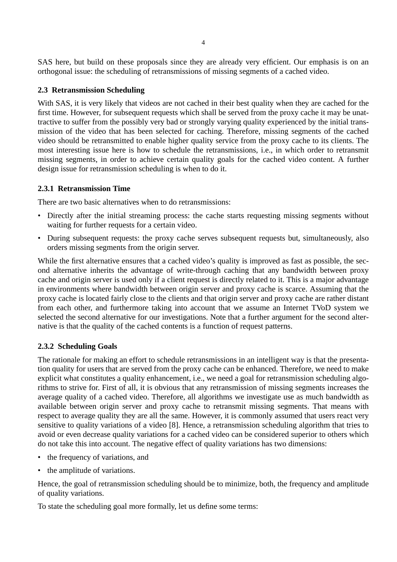SAS here, but build on these proposals since they are already very efficient. Our emphasis is on an orthogonal issue: the scheduling of retransmissions of missing segments of a cached video.

#### **2.3 Retransmission Scheduling**

With SAS, it is very likely that videos are not cached in their best quality when they are cached for the first time. However, for subsequent requests which shall be served from the proxy cache it may be unattractive to suffer from the possibly very bad or strongly varying quality experienced by the initial transmission of the video that has been selected for caching. Therefore, missing segments of the cached video should be retransmitted to enable higher quality service from the proxy cache to its clients. The most interesting issue here is how to schedule the retransmissions, i.e., in which order to retransmit missing segments, in order to achieve certain quality goals for the cached video content. A further design issue for retransmission scheduling is when to do it.

#### **2.3.1 Retransmission Time**

There are two basic alternatives when to do retransmissions:

- Directly after the initial streaming process: the cache starts requesting missing segments without waiting for further requests for a certain video.
- During subsequent requests: the proxy cache serves subsequent requests but, simultaneously, also orders missing segments from the origin server.

While the first alternative ensures that a cached video's quality is improved as fast as possible, the second alternative inherits the advantage of write-through caching that any bandwidth between proxy cache and origin server is used only if a client request is directly related to it. This is a major advantage in environments where bandwidth between origin server and proxy cache is scarce. Assuming that the proxy cache is located fairly close to the clients and that origin server and proxy cache are rather distant from each other, and furthermore taking into account that we assume an Internet TVoD system we selected the second alternative for our investigations. Note that a further argument for the second alternative is that the quality of the cached contents is a function of request patterns.

#### **2.3.2 Scheduling Goals**

The rationale for making an effort to schedule retransmissions in an intelligent way is that the presentation quality for users that are served from the proxy cache can be enhanced. Therefore, we need to make explicit what constitutes a quality enhancement, i.e., we need a goal for retransmission scheduling algorithms to strive for. First of all, it is obvious that any retransmission of missing segments increases the average quality of a cached video. Therefore, all algorithms we investigate use as much bandwidth as available between origin server and proxy cache to retransmit missing segments. That means with respect to average quality they are all the same. However, it is commonly assumed that users react very sensitive to quality variations of a video [8]. Hence, a retransmission scheduling algorithm that tries to avoid or even decrease quality variations for a cached video can be considered superior to others which do not take this into account. The negative effect of quality variations has two dimensions:

- the frequency of variations, and
- the amplitude of variations.

Hence, the goal of retransmission scheduling should be to minimize, both, the frequency and amplitude of quality variations.

To state the scheduling goal more formally, let us define some terms: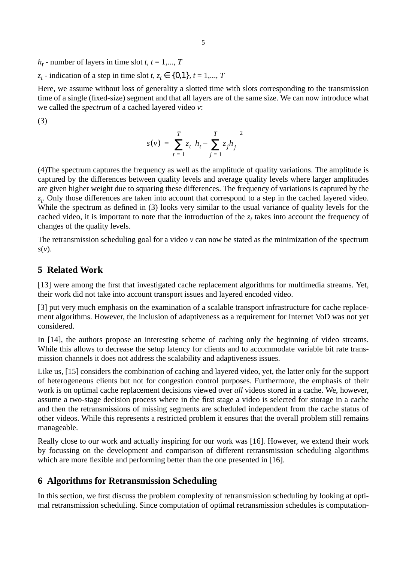$h_t$  - number of layers in time slot *t*,  $t = 1,..., T$ 

*z<sub>t</sub>* - indication of a step in time slot *t*,  $z_t \in \{0,1\}$ ,  $t = 1,..., T$ 

Here, we assume without loss of generality a slotted time with slots corresponding to the transmission time of a single (fixed-size) segment and that all layers are of the same size. We can now introduce what we called the *spectrum* of a cached layered video *v*:

(3)

$$
s(v) = \sum_{t=1}^{T} z_t \left( h_t - \sum_{j=1}^{T} z_j h_j \right)^2
$$

(4)The spectrum captures the frequency as well as the amplitude of quality variations. The amplitude is captured by the differences between quality levels and average quality levels where larger amplitudes are given higher weight due to squaring these differences. The frequency of variations is captured by the *zt* . Only those differences are taken into account that correspond to a step in the cached layered video. While the spectrum as defined in (3) looks very similar to the usual variance of quality levels for the cached video, it is important to note that the introduction of the  $z_t$  takes into account the frequency of changes of the quality levels.

The retransmission scheduling goal for a video *v* can now be stated as the minimization of the spectrum *s*(*v*).

## **5 Related Work**

[13] were among the first that investigated cache replacement algorithms for multimedia streams. Yet, their work did not take into account transport issues and layered encoded video.

[3] put very much emphasis on the examination of a scalable transport infrastructure for cache replacement algorithms. However, the inclusion of adaptiveness as a requirement for Internet VoD was not yet considered.

In [14], the authors propose an interesting scheme of caching only the beginning of video streams. While this allows to decrease the setup latency for clients and to accommodate variable bit rate transmission channels it does not address the scalability and adaptiveness issues.

Like us, [15] considers the combination of caching and layered video, yet, the latter only for the support of heterogeneous clients but not for congestion control purposes. Furthermore, the emphasis of their work is on optimal cache replacement decisions viewed over *all* videos stored in a cache. We, however, assume a two-stage decision process where in the first stage a video is selected for storage in a cache and then the retransmissions of missing segments are scheduled independent from the cache status of other videos. While this represents a restricted problem it ensures that the overall problem still remains manageable.

Really close to our work and actually inspiring for our work was [16]. However, we extend their work by focussing on the development and comparison of different retransmission scheduling algorithms which are more flexible and performing better than the one presented in [16].

## **6 Algorithms for Retransmission Scheduling**

In this section, we first discuss the problem complexity of retransmission scheduling by looking at optimal retransmission scheduling. Since computation of optimal retransmission schedules is computation-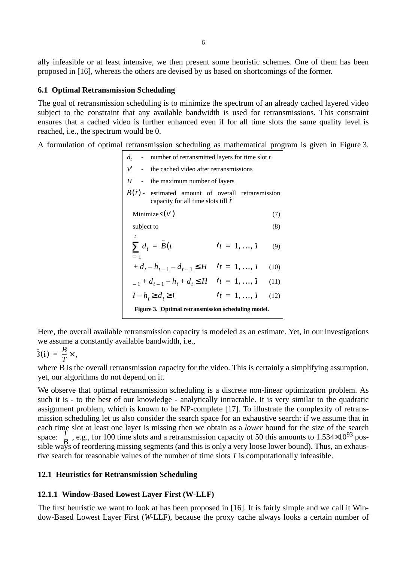ally infeasible or at least intensive, we then present some heuristic schemes. One of them has been proposed in [16], whereas the others are devised by us based on shortcomings of the former.

#### **6.1 Optimal Retransmission Scheduling**

The goal of retransmission scheduling is to minimize the spectrum of an already cached layered video subject to the constraint that any available bandwidth is used for retransmissions. This constraint ensures that a cached video is further enhanced even if for all time slots the same quality level is reached, i.e., the spectrum would be 0.

A formulation of optimal retransmission scheduling as mathematical program is given in Figure 3.

|                                                       | $d_t$ - number of retransmitted layers for time slot t                                    |              |      |
|-------------------------------------------------------|-------------------------------------------------------------------------------------------|--------------|------|
| $\nu'$<br>$\sim 100$ m $^{-1}$                        | the cached video after retransmissions                                                    |              |      |
| H                                                     | the maximum number of layers                                                              |              |      |
|                                                       | $B(t)$ - estimated amount of overall retransmission<br>capacity for all time slots till t |              |      |
| Minimize $s(v')$                                      |                                                                                           |              | (7)  |
| subject to                                            |                                                                                           |              | (8)  |
|                                                       |                                                                                           |              |      |
|                                                       | $\sum d_t = \tilde{B}(t)$                                                                 | $t = 1, , 1$ | (9)  |
| $= 1$                                                 |                                                                                           |              |      |
| $d_t - h_{t-1} - d_{t-1} \leq H$ $\forall t = 1, , T$ |                                                                                           |              | (10) |
|                                                       | $-1 + d_{t-1} - h_t + d_t \leq H$ $\forall t = 1, , T$                                    |              | (11) |
| $I-ht \geq dt \geq 0$                                 |                                                                                           | $t = 1, , 1$ | (12) |
| Figure 3. Optimal retransmission scheduling model.    |                                                                                           |              |      |

Here, the overall available retransmission capacity is modeled as an estimate. Yet, in our investigations we assume a constantly available bandwidth, i.e.,

$$
\dot{3}(\tilde{t}) = \frac{B}{T} \times ,
$$

where B is the overall retransmission capacity for the video. This is certainly a simplifying assumption, yet, our algorithms do not depend on it.

We observe that optimal retransmission scheduling is a discrete non-linear optimization problem. As such it is - to the best of our knowledge - analytically intractable. It is very similar to the quadratic assignment problem, which is known to be NP-complete [17]. To illustrate the complexity of retransmission scheduling let us also consider the search space for an exhaustive search: if we assume that in each time slot at least one layer is missing then we obtain as a *lower* bound for the size of the search space:  $\binom{T}{P}$ , e.g., for 100 time slots and a retransmission capacity of 50 this amounts to 1.534×10<sup>93</sup> possible ways of reordering missing segments (and this is only a very loose lower bound). Thus, an exhaustive search for reasonable values of the number of time slots *T* is computationally infeasible. *T B*

#### **12.1 Heuristics for Retransmission Scheduling**

#### **12.1.1 Window-Based Lowest Layer First (W-LLF)**

The first heuristic we want to look at has been proposed in [16]. It is fairly simple and we call it Window-Based Lowest Layer First (*W*-LLF), because the proxy cache always looks a certain number of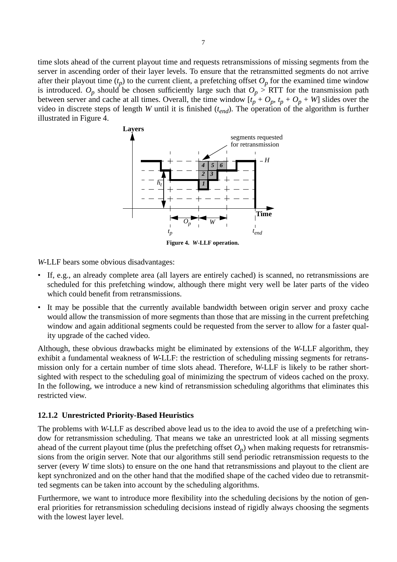time slots ahead of the current playout time and requests retransmissions of missing segments from the server in ascending order of their layer levels. To ensure that the retransmitted segments do not arrive after their playout time  $(t_p)$  to the current client, a prefetching offset  $O_p$  for the examined time window is introduced.  $O_p$  should be chosen sufficiently large such that  $O_p > RTT$  for the transmission path between server and cache at all times. Overall, the time window  $[t_p + O_p, t_p + O_p + W]$  slides over the video in discrete steps of length *W* until it is finished  $(t_{end})$ . The operation of the algorithm is further illustrated in Figure 4.



*W*-LLF bears some obvious disadvantages:

- If, e.g., an already complete area (all layers are entirely cached) is scanned, no retransmissions are scheduled for this prefetching window, although there might very well be later parts of the video which could benefit from retransmissions.
- It may be possible that the currently available bandwidth between origin server and proxy cache would allow the transmission of more segments than those that are missing in the current prefetching window and again additional segments could be requested from the server to allow for a faster quality upgrade of the cached video.

Although, these obvious drawbacks might be eliminated by extensions of the *W*-LLF algorithm, they exhibit a fundamental weakness of *W*-LLF: the restriction of scheduling missing segments for retransmission only for a certain number of time slots ahead. Therefore, *W*-LLF is likely to be rather shortsighted with respect to the scheduling goal of minimizing the spectrum of videos cached on the proxy. In the following, we introduce a new kind of retransmission scheduling algorithms that eliminates this restricted view.

#### **12.1.2 Unrestricted Priority-Based Heuristics**

The problems with *W*-LLF as described above lead us to the idea to avoid the use of a prefetching window for retransmission scheduling. That means we take an unrestricted look at all missing segments ahead of the current playout time (plus the prefetching offset  $O_p$ ) when making requests for retransmissions from the origin server. Note that our algorithms still send periodic retransmission requests to the server (every *W* time slots) to ensure on the one hand that retransmissions and playout to the client are kept synchronized and on the other hand that the modified shape of the cached video due to retransmitted segments can be taken into account by the scheduling algorithms.

Furthermore, we want to introduce more flexibility into the scheduling decisions by the notion of general priorities for retransmission scheduling decisions instead of rigidly always choosing the segments with the lowest layer level.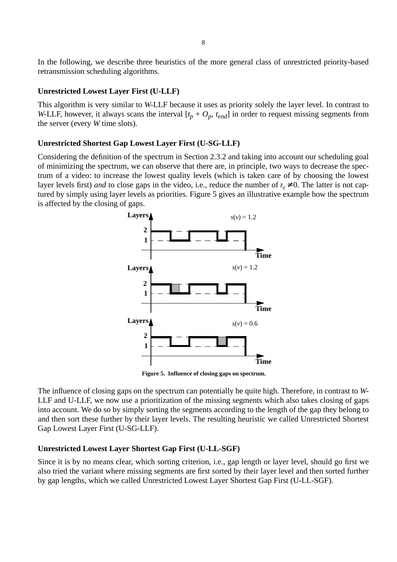In the following, we describe three heuristics of the more general class of unrestricted priority-based retransmission scheduling algorithms.

#### **Unrestricted Lowest Layer First (U-LLF)**

This algorithm is very similar to *W*-LLF because it uses as priority solely the layer level. In contrast to *W*-LLF, however, it always scans the interval  $[t_p + O_p, t_{end}]$  in order to request missing segments from the server (every *W* time slots).

#### **Unrestricted Shortest Gap Lowest Layer First (U-SG-LLF)**

Considering the definition of the spectrum in Section 2.3.2 and taking into account our scheduling goal of minimizing the spectrum, we can observe that there are, in principle, two ways to decrease the spectrum of a video: to increase the lowest quality levels (which is taken care of by choosing the lowest layer levels first) *and* to close gaps in the video, i.e., reduce the number of  $z_t \neq 0$ . The latter is not captured by simply using layer levels as priorities. Figure 5 gives an illustrative example how the spectrum is affected by the closing of gaps.



**Figure 5. Influence of closing gaps on spectrum.**

The influence of closing gaps on the spectrum can potentially be quite high. Therefore, in contrast to *W*-LLF and U-LLF, we now use a prioritization of the missing segments which also takes closing of gaps into account. We do so by simply sorting the segments according to the length of the gap they belong to and then sort these further by their layer levels. The resulting heuristic we called Unrestricted Shortest Gap Lowest Layer First (U-SG-LLF).

#### **Unrestricted Lowest Layer Shortest Gap First (U-LL-SGF)**

Since it is by no means clear, which sorting criterion, i.e., gap length or layer level, should go first we also tried the variant where missing segments are first sorted by their layer level and then sorted further by gap lengths, which we called Unrestricted Lowest Layer Shortest Gap First (U-LL-SGF).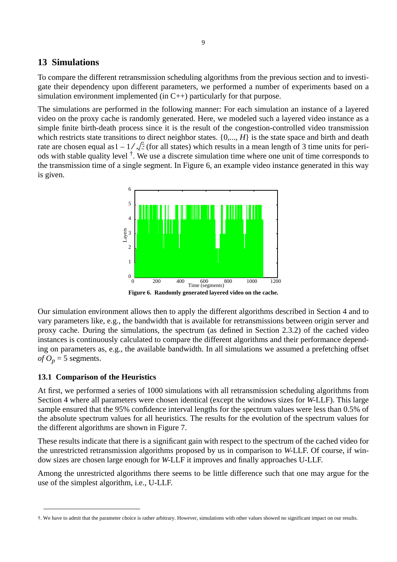## **13 Simulations**

To compare the different retransmission scheduling algorithms from the previous section and to investigate their dependency upon different parameters, we performed a number of experiments based on a simulation environment implemented (in  $C_{++}$ ) particularly for that purpose.

The simulations are performed in the following manner: For each simulation an instance of a layered video on the proxy cache is randomly generated. Here, we modeled such a layered video instance as a simple finite birth-death process since it is the result of the congestion-controlled video transmission which restricts state transitions to direct neighbor states.  $\{0, ..., H\}$  is the state space and birth and death rate are chosen equal as  $1 - 1 / \sqrt{3}$  (for all states) which results in a mean length of 3 time units for periods with stable quality level <sup>†</sup>. We use a discrete simulation time where one unit of time corresponds to the transmission time of a single segment. In Figure 6, an example video instance generated in this way is given.



**Figure 6. Randomly generated layered video on the cache.**

Our simulation environment allows then to apply the different algorithms described in Section 4 and to vary parameters like, e.g., the bandwidth that is available for retransmissions between origin server and proxy cache. During the simulations, the spectrum (as defined in Section 2.3.2) of the cached video instances is continuously calculated to compare the different algorithms and their performance depending on parameters as, e.g., the available bandwidth. In all simulations we assumed a prefetching offset *of*  $O_p = 5$  segments.

#### **13.1 Comparison of the Heuristics**

At first, we performed a series of 1000 simulations with all retransmission scheduling algorithms from Section 4 where all parameters were chosen identical (except the windows sizes for *W*-LLF). This large sample ensured that the 95% confidence interval lengths for the spectrum values were less than 0.5% of the absolute spectrum values for all heuristics. The results for the evolution of the spectrum values for the different algorithms are shown in [Figure 7.](#page-10-0)

These results indicate that there is a significant gain with respect to the spectrum of the cached video for the unrestricted retransmission algorithms proposed by us in comparison to *W*-LLF. Of course, if window sizes are chosen large enough for *W*-LLF it improves and finally approaches U-LLF.

Among the unrestricted algorithms there seems to be little difference such that one may argue for the use of the simplest algorithm, i.e., U-LLF.

<sup>†.</sup> We have to admit that the parameter choice is rather arbitrary. However, simulations with other values showed no significant impact on our results.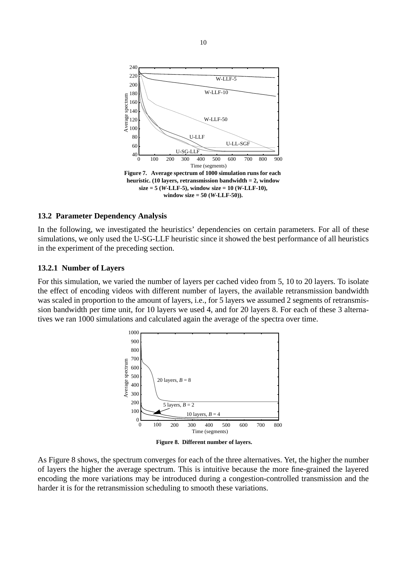<span id="page-10-0"></span>

#### **13.2 Parameter Dependency Analysis**

In the following, we investigated the heuristics' dependencies on certain parameters. For all of these simulations, we only used the U-SG-LLF heuristic since it showed the best performance of all heuristics in the experiment of the preceding section.

#### **13.2.1 Number of Layers**

For this simulation, we varied the number of layers per cached video from 5, 10 to 20 layers. To isolate the effect of encoding videos with different number of layers, the available retransmission bandwidth was scaled in proportion to the amount of layers, i.e., for 5 layers we assumed 2 segments of retransmission bandwidth per time unit, for 10 layers we used 4, and for 20 layers 8. For each of these 3 alternatives we ran 1000 simulations and calculated again the average of the spectra over time.



**Figure 8. Different number of layers.**

As Figure 8 shows, the spectrum converges for each of the three alternatives. Yet, the higher the number of layers the higher the average spectrum. This is intuitive because the more fine-grained the layered encoding the more variations may be introduced during a congestion-controlled transmission and the harder it is for the retransmission scheduling to smooth these variations.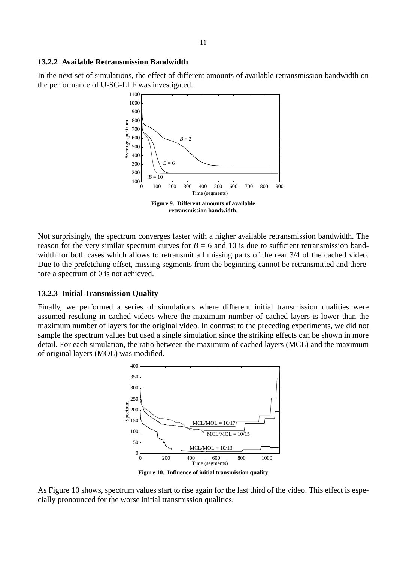#### **13.2.2 Available Retransmission Bandwidth**

In the next set of simulations, the effect of different amounts of available retransmission bandwidth on the performance of U-SG-LLF was investigated.



Not surprisingly, the spectrum converges faster with a higher available retransmission bandwidth. The reason for the very similar spectrum curves for  $B = 6$  and 10 is due to sufficient retransmission bandwidth for both cases which allows to retransmit all missing parts of the rear 3/4 of the cached video. Due to the prefetching offset, missing segments from the beginning cannot be retransmitted and therefore a spectrum of 0 is not achieved.

#### **13.2.3 Initial Transmission Quality**

Finally, we performed a series of simulations where different initial transmission qualities were assumed resulting in cached videos where the maximum number of cached layers is lower than the maximum number of layers for the original video. In contrast to the preceding experiments, we did not sample the spectrum values but used a single simulation since the striking effects can be shown in more detail. For each simulation, the ratio between the maximum of cached layers (MCL) and the maximum of original layers (MOL) was modified.



**Figure 10. Influence of initial transmission quality.**

As Figure 10 shows, spectrum values start to rise again for the last third of the video. This effect is especially pronounced for the worse initial transmission qualities.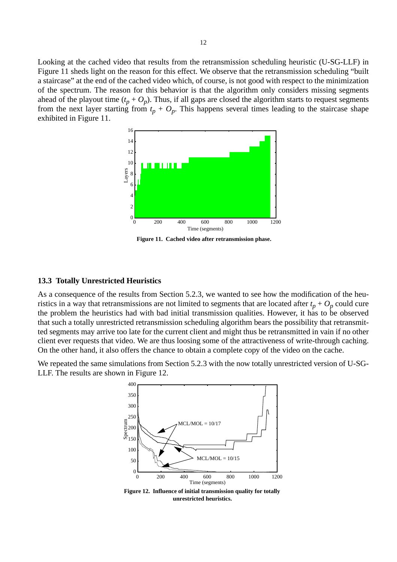<span id="page-12-0"></span>Looking at the cached video that results from the retransmission scheduling heuristic (U-SG-LLF) in Figure 11 sheds light on the reason for this effect. We observe that the retransmission scheduling "built a staircase" at the end of the cached video which, of course, is not good with respect to the minimization of the spectrum. The reason for this behavior is that the algorithm only considers missing segments ahead of the playout time  $(t_p + O_p)$ . Thus, if all gaps are closed the algorithm starts to request segments from the next layer starting from  $t_p + O_p$ . This happens several times leading to the staircase shape exhibited in Figure 11.



**Figure 11. Cached video after retransmission phase.**

#### **13.3 Totally Unrestricted Heuristics**

As a consequence of the results from Section 5.2.3, we wanted to see how the modification of the heuristics in a way that retransmissions are not limited to segments that are located after  $t_p + O_p$  could cure the problem the heuristics had with bad initial transmission qualities. However, it has to be observed that such a totally unrestricted retransmission scheduling algorithm bears the possibility that retransmitted segments may arrive too late for the current client and might thus be retransmitted in vain if no other client ever requests that video. We are thus loosing some of the attractiveness of write-through caching. On the other hand, it also offers the chance to obtain a complete copy of the video on the cache.

We repeated the same simulations from Section 5.2.3 with the now totally unrestricted version of U-SG-LLF. The results are shown in Figure 12.



**Figure 12. Influence of initial transmission quality for totally unrestricted heuristics.**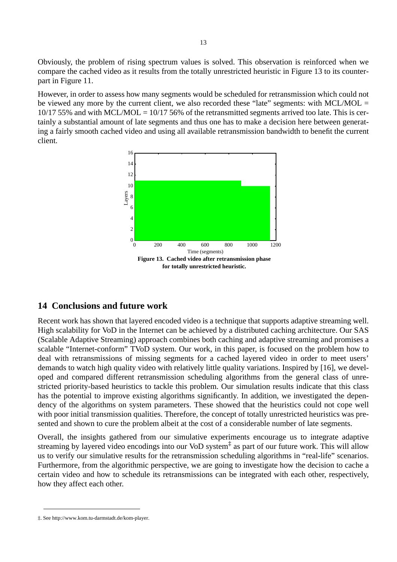Obviously, the problem of rising spectrum values is solved. This observation is reinforced when we compare the cached video as it results from the totally unrestricted heuristic in Figure 13 to its counterpart in [Figure 11.](#page-12-0)

However, in order to assess how many segments would be scheduled for retransmission which could not be viewed any more by the current client, we also recorded these "late" segments: with MCL/MOL =  $10/17$  55% and with MCL/MOL =  $10/17$  56% of the retransmitted segments arrived too late. This is certainly a substantial amount of late segments and thus one has to make a decision here between generating a fairly smooth cached video and using all available retransmission bandwidth to benefit the current client.



**for totally unrestricted heuristic.**

## **14 Conclusions and future work**

Recent work has shown that layered encoded video is a technique that supports adaptive streaming well. High scalability for VoD in the Internet can be achieved by a distributed caching architecture. Our SAS (Scalable Adaptive Streaming) approach combines both caching and adaptive streaming and promises a scalable "Internet-conform" TVoD system. Our work, in this paper, is focused on the problem how to deal with retransmissions of missing segments for a cached layered video in order to meet users' demands to watch high quality video with relatively little quality variations. Inspired by [16], we developed and compared different retransmission scheduling algorithms from the general class of unrestricted priority-based heuristics to tackle this problem. Our simulation results indicate that this class has the potential to improve existing algorithms significantly. In addition, we investigated the dependency of the algorithms on system parameters. These showed that the heuristics could not cope well with poor initial transmission qualities. Therefore, the concept of totally unrestricted heuristics was presented and shown to cure the problem albeit at the cost of a considerable number of late segments.

Overall, the insights gathered from our simulative experiments encourage us to integrate adaptive streaming by layered video encodings into our VoD system<sup> $\ddagger$ </sup> as part of our future work. This will allow us to verify our simulative results for the retransmission scheduling algorithms in "real-life" scenarios. Furthermore, from the algorithmic perspective, we are going to investigate how the decision to cache a certain video and how to schedule its retransmissions can be integrated with each other, respectively, how they affect each other.

<sup>‡.</sup> See http://www.kom.tu-darmstadt.de/kom-player.